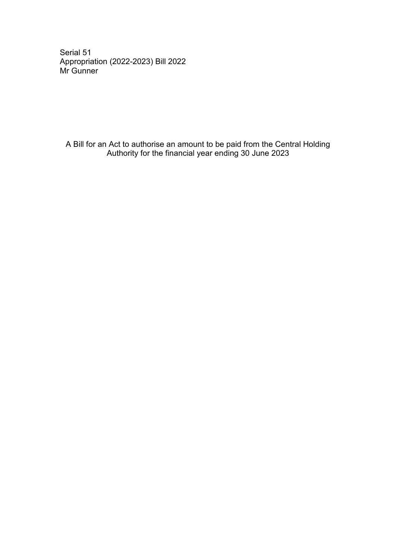Serial 51 Appropriation (2022-2023) Bill 2022 Mr Gunner

A Bill for an Act to authorise an amount to be paid from the Central Holding Authority for the financial year ending 30 June 2023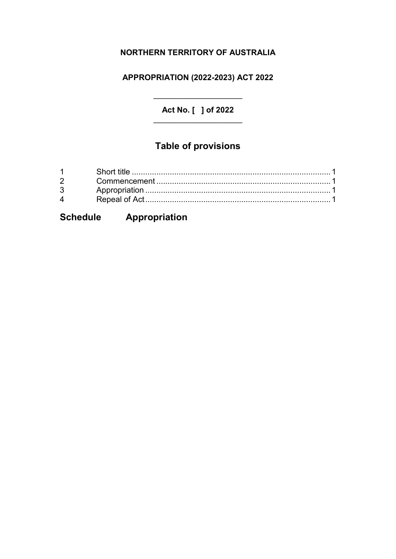## NORTHERN TERRITORY OF AUSTRALIA

## **APPROPRIATION (2022-2023) ACT 2022**

Act No. [ ] of 2022

# **Table of provisions**

| $1 \quad \blacksquare$ |  |
|------------------------|--|
|                        |  |
|                        |  |
| $\overline{4}$         |  |
|                        |  |

# **Schedule Appropriation**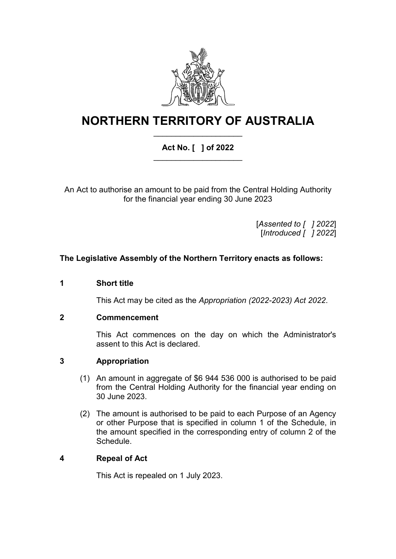

## **NORTHERN TERRITORY OF AUSTRALIA** \_\_\_\_\_\_\_\_\_\_\_\_\_\_\_\_\_\_\_\_

### **Act No. [ ] of 2022** \_\_\_\_\_\_\_\_\_\_\_\_\_\_\_\_\_\_\_\_

An Act to authorise an amount to be paid from the Central Holding Authority for the financial year ending 30 June 2023

> [*Assented to [ ] 2022*] [*Introduced [ ] 2022*]

### **The Legislative Assembly of the Northern Territory enacts as follows:**

### **1 Short title**

This Act may be cited as the *Appropriation (2022-2023) Act 2022*.

### **2 Commencement**

This Act commences on the day on which the Administrator's assent to this Act is declared.

### **3 Appropriation**

- (1) An amount in aggregate of \$6 944 536 000 is authorised to be paid from the Central Holding Authority for the financial year ending on 30 June 2023.
- (2) The amount is authorised to be paid to each Purpose of an Agency or other Purpose that is specified in column 1 of the Schedule, in the amount specified in the corresponding entry of column 2 of the Schedule.

### **4 Repeal of Act**

This Act is repealed on 1 July 2023.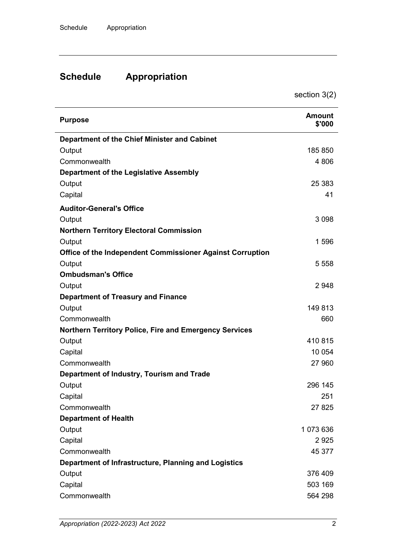# **Schedule Appropriation**

section 3(2)

| <b>Purpose</b>                                            | <b>Amount</b><br>\$'000 |
|-----------------------------------------------------------|-------------------------|
| Department of the Chief Minister and Cabinet              |                         |
| Output                                                    | 185 850                 |
| Commonwealth                                              | 4 806                   |
| Department of the Legislative Assembly                    |                         |
| Output                                                    | 25 383                  |
| Capital                                                   | 41                      |
| <b>Auditor-General's Office</b>                           |                         |
| Output                                                    | 3 0 9 8                 |
| <b>Northern Territory Electoral Commission</b>            |                         |
| Output                                                    | 1596                    |
| Office of the Independent Commissioner Against Corruption |                         |
| Output                                                    | 5 5 5 8                 |
| <b>Ombudsman's Office</b>                                 |                         |
| Output                                                    | 2948                    |
| <b>Department of Treasury and Finance</b>                 |                         |
| Output                                                    | 149813                  |
| Commonwealth                                              | 660                     |
| Northern Territory Police, Fire and Emergency Services    |                         |
| Output                                                    | 410 815                 |
| Capital                                                   | 10 0 54                 |
| Commonwealth                                              | 27 960                  |
| Department of Industry, Tourism and Trade                 |                         |
| Output                                                    | 296 145                 |
| Capital                                                   | 251                     |
| Commonwealth                                              | 27 8 25                 |
| <b>Department of Health</b>                               |                         |
| Output                                                    | 1073636                 |
| Capital                                                   | 2925                    |
| Commonwealth                                              | 45 377                  |
| Department of Infrastructure, Planning and Logistics      |                         |
| Output                                                    | 376 409                 |
| Capital                                                   | 503 169                 |
| Commonwealth                                              | 564 298                 |